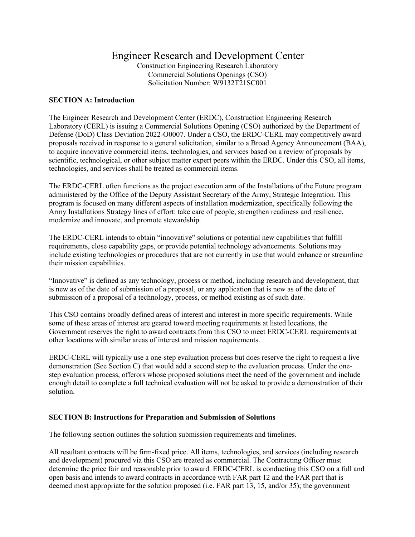# Engineer Research and Development Center

Construction Engineering Research Laboratory Commercial Solutions Openings (CSO) Solicitation Number: W9132T21SC001

## **SECTION A: Introduction**

The Engineer Research and Development Center (ERDC), Construction Engineering Research Laboratory (CERL) is issuing a Commercial Solutions Opening (CSO) authorized by the Department of Defense (DoD) Class Deviation 2022-O0007. Under a CSO, the ERDC-CERL may competitively award proposals received in response to a general solicitation, similar to a Broad Agency Announcement (BAA), to acquire innovative commercial items, technologies, and services based on a review of proposals by scientific, technological, or other subject matter expert peers within the ERDC. Under this CSO, all items, technologies, and services shall be treated as commercial items.

The ERDC-CERL often functions as the project execution arm of the Installations of the Future program administered by the Office of the Deputy Assistant Secretary of the Army, Strategic Integration. This program is focused on many different aspects of installation modernization, specifically following the Army Installations Strategy lines of effort: take care of people, strengthen readiness and resilience, modernize and innovate, and promote stewardship.

The ERDC-CERL intends to obtain "innovative" solutions or potential new capabilities that fulfill requirements, close capability gaps, or provide potential technology advancements. Solutions may include existing technologies or procedures that are not currently in use that would enhance or streamline their mission capabilities.

"Innovative" is defined as any technology, process or method, including research and development, that is new as of the date of submission of a proposal, or any application that is new as of the date of submission of a proposal of a technology, process, or method existing as of such date.

This CSO contains broadly defined areas of interest and interest in more specific requirements. While some of these areas of interest are geared toward meeting requirements at listed locations, the Government reserves the right to award contracts from this CSO to meet ERDC-CERL requirements at other locations with similar areas of interest and mission requirements.

ERDC-CERL will typically use a one-step evaluation process but does reserve the right to request a live demonstration (See Section C) that would add a second step to the evaluation process. Under the onestep evaluation process, offerors whose proposed solutions meet the need of the government and include enough detail to complete a full technical evaluation will not be asked to provide a demonstration of their solution.

# **SECTION B: Instructions for Preparation and Submission of Solutions**

The following section outlines the solution submission requirements and timelines.

All resultant contracts will be firm-fixed price. All items, technologies, and services (including research and development) procured via this CSO are treated as commercial. The Contracting Officer must determine the price fair and reasonable prior to award. ERDC-CERL is conducting this CSO on a full and open basis and intends to award contracts in accordance with FAR part 12 and the FAR part that is deemed most appropriate for the solution proposed (i.e. FAR part 13, 15, and/or 35); the government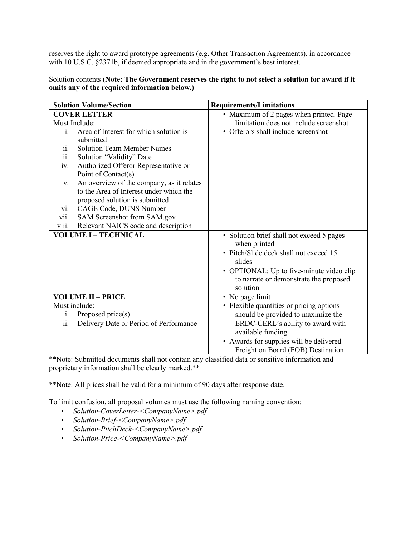reserves the right to award prototype agreements (e.g. Other Transaction Agreements), in accordance with 10 U.S.C. §2371b, if deemed appropriate and in the government's best interest.

Solution contents (**Note: The Government reserves the right to not select a solution for award if it omits any of the required information below.)**

| <b>Solution Volume/Section</b>                  | <b>Requirements/Limitations</b>           |
|-------------------------------------------------|-------------------------------------------|
| <b>COVER LETTER</b>                             | • Maximum of 2 pages when printed. Page   |
| Must Include:                                   | limitation does not include screenshot    |
| Area of Interest for which solution is<br>i.    | • Offerors shall include screenshot       |
| submitted                                       |                                           |
| <b>Solution Team Member Names</b><br>11.        |                                           |
| iii.<br>Solution "Validity" Date                |                                           |
| Authorized Offeror Representative or<br>iv.     |                                           |
| Point of Contact(s)                             |                                           |
| An overview of the company, as it relates<br>V. |                                           |
| to the Area of Interest under which the         |                                           |
| proposed solution is submitted                  |                                           |
| CAGE Code, DUNS Number<br>V1.                   |                                           |
| vii.<br>SAM Screenshot from SAM.gov             |                                           |
| viii.<br>Relevant NAICS code and description    |                                           |
| <b>VOLUME I - TECHNICAL</b>                     | • Solution brief shall not exceed 5 pages |
|                                                 | when printed                              |
|                                                 | · Pitch/Slide deck shall not exceed 15    |
|                                                 | slides                                    |
|                                                 | • OPTIONAL: Up to five-minute video clip  |
|                                                 | to narrate or demonstrate the proposed    |
|                                                 | solution                                  |
| <b>VOLUME II - PRICE</b>                        | • No page limit                           |
| Must include:                                   | • Flexible quantities or pricing options  |
| Proposed price(s)<br>1.                         | should be provided to maximize the        |
| Delivery Date or Period of Performance<br>ii.   | ERDC-CERL's ability to award with         |
|                                                 | available funding.                        |
|                                                 | • Awards for supplies will be delivered   |
|                                                 | Freight on Board (FOB) Destination        |

\*\*Note: Submitted documents shall not contain any classified data or sensitive information and proprietary information shall be clearly marked.\*\*

\*\*Note: All prices shall be valid for a minimum of 90 days after response date.

To limit confusion, all proposal volumes must use the following naming convention:

- *Solution-CoverLetter-<CompanyName>.pdf*
- *Solution-Brief-<CompanyName>.pdf*
- *Solution-PitchDeck-<CompanyName>.pdf*
- *Solution-Price-<CompanyName>.pdf*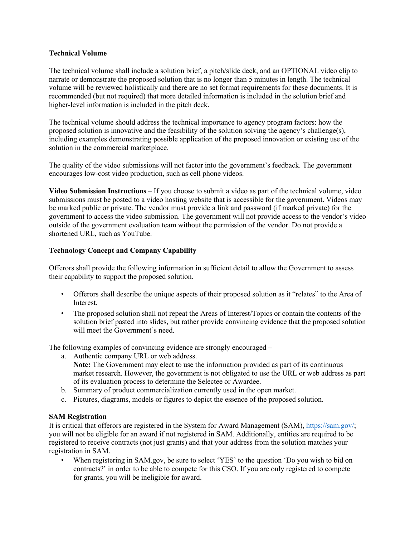## **Technical Volume**

The technical volume shall include a solution brief, a pitch/slide deck, and an OPTIONAL video clip to narrate or demonstrate the proposed solution that is no longer than 5 minutes in length. The technical volume will be reviewed holistically and there are no set format requirements for these documents. It is recommended (but not required) that more detailed information is included in the solution brief and higher-level information is included in the pitch deck.

The technical volume should address the technical importance to agency program factors: how the proposed solution is innovative and the feasibility of the solution solving the agency's challenge(s), including examples demonstrating possible application of the proposed innovation or existing use of the solution in the commercial marketplace.

The quality of the video submissions will not factor into the government's feedback. The government encourages low-cost video production, such as cell phone videos.

**Video Submission Instructions** – If you choose to submit a video as part of the technical volume, video submissions must be posted to a video hosting website that is accessible for the government. Videos may be marked public or private. The vendor must provide a link and password (if marked private) for the government to access the video submission. The government will not provide access to the vendor's video outside of the government evaluation team without the permission of the vendor. Do not provide a shortened URL, such as YouTube.

## **Technology Concept and Company Capability**

Offerors shall provide the following information in sufficient detail to allow the Government to assess their capability to support the proposed solution.

- Offerors shall describe the unique aspects of their proposed solution as it "relates" to the Area of Interest.
- The proposed solution shall not repeat the Areas of Interest/Topics or contain the contents of the solution brief pasted into slides, but rather provide convincing evidence that the proposed solution will meet the Government's need.

The following examples of convincing evidence are strongly encouraged –

- a. Authentic company URL or web address.
- **Note:** The Government may elect to use the information provided as part of its continuous market research. However, the government is not obligated to use the URL or web address as part of its evaluation process to determine the Selectee or Awardee.
- b. Summary of product commercialization currently used in the open market.
- c. Pictures, diagrams, models or figures to depict the essence of the proposed solution.

## **SAM Registration**

It is critical that offerors are registered in the System for Award Management (SAM), https://sam.gov/; you will not be eligible for an award if not registered in SAM. Additionally, entities are required to be registered to receive contracts (not just grants) and that your address from the solution matches your registration in SAM.

• When registering in SAM.gov, be sure to select 'YES' to the question 'Do you wish to bid on contracts?' in order to be able to compete for this CSO. If you are only registered to compete for grants, you will be ineligible for award.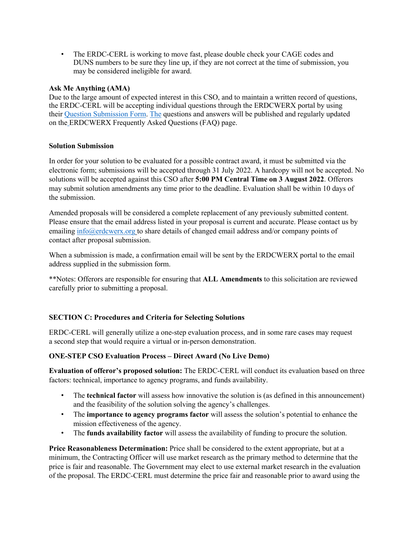• The ERDC-CERL is working to move fast, please double check your CAGE codes and DUNS numbers to be sure they line up, if they are not correct at the time of submission, you may be considered ineligible for award.

## **Ask Me Anything (AMA)**

Due to the large amount of expected interest in this CSO, and to maintain a written record of questions, the ERDC-CERL will be accepting individual questions through the ERDCWERX portal by using their Question Submission Form. The questions and answers will be published and regularly updated on the ERDCWERX Frequently Asked Questions (FAQ) page.

## **Solution Submission**

In order for your solution to be evaluated for a possible contract award, it must be submitted via the electronic form; submissions will be accepted through 31 July 2022. A hardcopy will not be accepted. No solutions will be accepted against this CSO after **5:00 PM Central Time on 3 August 2022**. Offerors may submit solution amendments any time prior to the deadline. Evaluation shall be within 10 days of the submission.

Amended proposals will be considered a complete replacement of any previously submitted content. Please ensure that the email address listed in your proposal is current and accurate. Please contact us by emailing info@erdcwerx.org to share details of changed email address and/or company points of contact after proposal submission.

When a submission is made, a confirmation email will be sent by the ERDCWERX portal to the email address supplied in the submission form.

\*\*Notes: Offerors are responsible for ensuring that **ALL Amendments** to this solicitation are reviewed carefully prior to submitting a proposal.

# **SECTION C: Procedures and Criteria for Selecting Solutions**

ERDC-CERL will generally utilize a one-step evaluation process, and in some rare cases may request a second step that would require a virtual or in-person demonstration.

# **ONE-STEP CSO Evaluation Process – Direct Award (No Live Demo)**

**Evaluation of offeror's proposed solution:** The ERDC-CERL will conduct its evaluation based on three factors: technical, importance to agency programs, and funds availability.

- The **technical factor** will assess how innovative the solution is (as defined in this announcement) and the feasibility of the solution solving the agency's challenges.
- The **importance to agency programs factor** will assess the solution's potential to enhance the mission effectiveness of the agency.
- The **funds availability factor** will assess the availability of funding to procure the solution.

**Price Reasonableness Determination:** Price shall be considered to the extent appropriate, but at a minimum, the Contracting Officer will use market research as the primary method to determine that the price is fair and reasonable. The Government may elect to use external market research in the evaluation of the proposal. The ERDC-CERL must determine the price fair and reasonable prior to award using the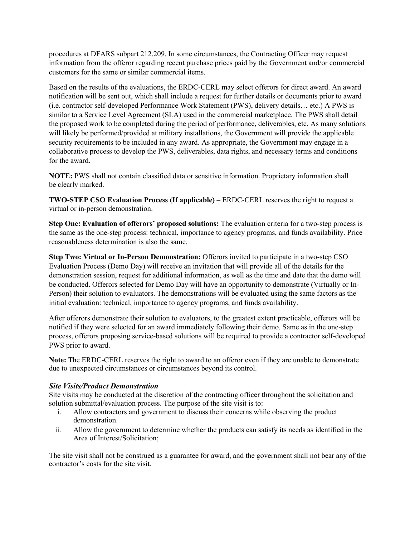procedures at DFARS subpart 212.209. In some circumstances, the Contracting Officer may request information from the offeror regarding recent purchase prices paid by the Government and/or commercial customers for the same or similar commercial items.

Based on the results of the evaluations, the ERDC-CERL may select offerors for direct award. An award notification will be sent out, which shall include a request for further details or documents prior to award (i.e. contractor self-developed Performance Work Statement (PWS), delivery details… etc.) A PWS is similar to a Service Level Agreement (SLA) used in the commercial marketplace. The PWS shall detail the proposed work to be completed during the period of performance, deliverables, etc. As many solutions will likely be performed/provided at military installations, the Government will provide the applicable security requirements to be included in any award. As appropriate, the Government may engage in a collaborative process to develop the PWS, deliverables, data rights, and necessary terms and conditions for the award.

**NOTE:** PWS shall not contain classified data or sensitive information. Proprietary information shall be clearly marked.

**TWO-STEP CSO Evaluation Process (If applicable) –** ERDC-CERL reserves the right to request a virtual or in-person demonstration.

**Step One: Evaluation of offerors' proposed solutions:** The evaluation criteria for a two-step process is the same as the one-step process: technical, importance to agency programs, and funds availability. Price reasonableness determination is also the same.

**Step Two: Virtual or In-Person Demonstration:** Offerors invited to participate in a two-step CSO Evaluation Process (Demo Day) will receive an invitation that will provide all of the details for the demonstration session, request for additional information, as well as the time and date that the demo will be conducted. Offerors selected for Demo Day will have an opportunity to demonstrate (Virtually or In-Person) their solution to evaluators. The demonstrations will be evaluated using the same factors as the initial evaluation: technical, importance to agency programs, and funds availability.

After offerors demonstrate their solution to evaluators, to the greatest extent practicable, offerors will be notified if they were selected for an award immediately following their demo. Same as in the one-step process, offerors proposing service-based solutions will be required to provide a contractor self-developed PWS prior to award.

**Note:** The ERDC-CERL reserves the right to award to an offeror even if they are unable to demonstrate due to unexpected circumstances or circumstances beyond its control.

## *Site Visits/Product Demonstration*

Site visits may be conducted at the discretion of the contracting officer throughout the solicitation and solution submittal/evaluation process. The purpose of the site visit is to:

- i. Allow contractors and government to discuss their concerns while observing the product demonstration.
- ii. Allow the government to determine whether the products can satisfy its needs as identified in the Area of Interest/Solicitation;

The site visit shall not be construed as a guarantee for award, and the government shall not bear any of the contractor's costs for the site visit.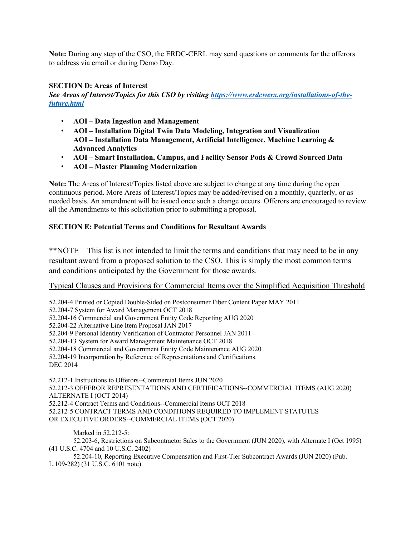**Note:** During any step of the CSO, the ERDC-CERL may send questions or comments for the offerors to address via email or during Demo Day.

## **SECTION D: Areas of Interest**

*See Areas of Interest/Topics for this CSO by visiting https://www.erdcwerx.org/installations-of-thefuture.html*

- **AOI – Data Ingestion and Management**
- **AOI – Installation Digital Twin Data Modeling, Integration and Visualization AOI – Installation Data Management, Artificial Intelligence, Machine Learning & Advanced Analytics**
- **AOI – Smart Installation, Campus, and Facility Sensor Pods & Crowd Sourced Data**
- **AOI – Master Planning Modernization**

**Note:** The Areas of Interest/Topics listed above are subject to change at any time during the open continuous period. More Areas of Interest/Topics may be added/revised on a monthly, quarterly, or as needed basis. An amendment will be issued once such a change occurs. Offerors are encouraged to review all the Amendments to this solicitation prior to submitting a proposal.

## **SECTION E: Potential Terms and Conditions for Resultant Awards**

\*\*NOTE – This list is not intended to limit the terms and conditions that may need to be in any resultant award from a proposed solution to the CSO. This is simply the most common terms and conditions anticipated by the Government for those awards.

# Typical Clauses and Provisions for Commercial Items over the Simplified Acquisition Threshold

52.204-4 Printed or Copied Double-Sided on Postconsumer Fiber Content Paper MAY 2011 52.204-7 System for Award Management OCT 2018 52.204-16 Commercial and Government Entity Code Reporting AUG 2020 52.204-22 Alternative Line Item Proposal JAN 2017 52.204-9 Personal Identity Verification of Contractor Personnel JAN 2011 52.204-13 System for Award Management Maintenance OCT 2018 52.204-18 Commercial and Government Entity Code Maintenance AUG 2020 52.204-19 Incorporation by Reference of Representations and Certifications. DEC 2014 52.212-1 Instructions to Offerors--Commercial Items JUN 2020 52.212-3 OFFEROR REPRESENTATIONS AND CERTIFICATIONS--COMMERCIAL ITEMS (AUG 2020) ALTERNATE I (OCT 2014) 52.212-4 Contract Terms and Conditions--Commercial Items OCT 2018 52.212-5 CONTRACT TERMS AND CONDITIONS REQUIRED TO IMPLEMENT STATUTES OR EXECUTIVE ORDERS--COMMERCIAL ITEMS (OCT 2020)

Marked in 52.212-5:

52.203-6, Restrictions on Subcontractor Sales to the Government (JUN 2020), with Alternate I (Oct 1995) (41 U.S.C. 4704 and 10 U.S.C. 2402)

52.204-10, Reporting Executive Compensation and First-Tier Subcontract Awards (JUN 2020) (Pub. L.109-282) (31 U.S.C. 6101 note).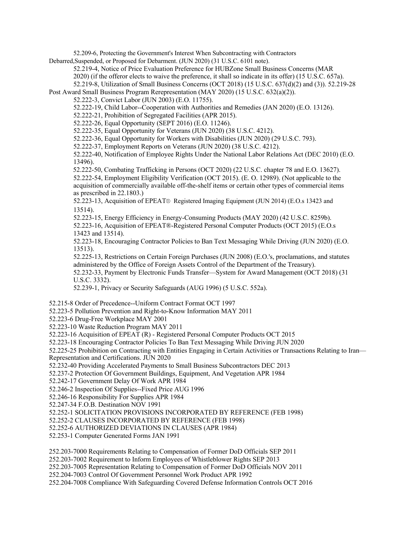52.209-6, Protecting the Government's Interest When Subcontracting with Contractors

Debarred,Suspended, or Proposed for Debarment. (JUN 2020) (31 U.S.C. 6101 note).

52.219-4, Notice of Price Evaluation Preference for HUBZone Small Business Concerns (MAR

2020) (if the offeror elects to waive the preference, it shall so indicate in its offer) (15 U.S.C. 657a).

52.219-8, Utilization of Small Business Concerns (OCT 2018) (15 U.S.C. 637(d)(2) and (3)). 52.219-28

Post Award Small Business Program Rerepresentation (MAY 2020) (15 U.S.C. 632(a)(2)).

52.222-3, Convict Labor (JUN 2003) (E.O. 11755).

52.222-19, Child Labor--Cooperation with Authorities and Remedies (JAN 2020) (E.O. 13126).

52.222-21, Prohibition of Segregated Facilities (APR 2015).

52.222-26, Equal Opportunity (SEPT 2016) (E.O. 11246).

52.222-35, Equal Opportunity for Veterans (JUN 2020) (38 U.S.C. 4212).

52.222-36, Equal Opportunity for Workers with Disabilities (JUN 2020) (29 U.S.C. 793).

52.222-37, Employment Reports on Veterans (JUN 2020) (38 U.S.C. 4212).

52.222-40, Notification of Employee Rights Under the National Labor Relations Act (DEC 2010) (E.O. 13496).

52.222-50, Combating Trafficking in Persons (OCT 2020) (22 U.S.C. chapter 78 and E.O. 13627). 52.222-54, Employment Eligibility Verification (OCT 2015). (E. O. 12989). (Not applicable to the acquisition of commercially available off-the-shelf items or certain other types of commercial items as prescribed in 22.1803.)

52.223-13, Acquisition of EPEAT® Registered Imaging Equipment (JUN 2014) (E.O.s 13423 and 13514).

52.223-15, Energy Efficiency in Energy-Consuming Products (MAY 2020) (42 U.S.C. 8259b). 52.223-16, Acquisition of EPEAT®-Registered Personal Computer Products (OCT 2015) (E.O.s 13423 and 13514).

52.223-18, Encouraging Contractor Policies to Ban Text Messaging While Driving (JUN 2020) (E.O. 13513).

52.225-13, Restrictions on Certain Foreign Purchases (JUN 2008) (E.O.'s, proclamations, and statutes administered by the Office of Foreign Assets Control of the Department of the Treasury).

52.232-33, Payment by Electronic Funds Transfer—System for Award Management (OCT 2018) (31 U.S.C. 3332).

52.239-1, Privacy or Security Safeguards (AUG 1996) (5 U.S.C. 552a).

52.215-8 Order of Precedence--Uniform Contract Format OCT 1997

52.223-5 Pollution Prevention and Right-to-Know Information MAY 2011

52.223-6 Drug-Free Workplace MAY 2001

52.223-10 Waste Reduction Program MAY 2011

52.223-16 Acquisition of EPEAT (R) - Registered Personal Computer Products OCT 2015

52.223-18 Encouraging Contractor Policies To Ban Text Messaging While Driving JUN 2020

52.225-25 Prohibition on Contracting with Entities Engaging in Certain Activities or Transactions Relating to Iran— Representation and Certifications. JUN 2020

52.232-40 Providing Accelerated Payments to Small Business Subcontractors DEC 2013

52.237-2 Protection Of Government Buildings, Equipment, And Vegetation APR 1984

52.242-17 Government Delay Of Work APR 1984

52.246-2 Inspection Of Supplies--Fixed Price AUG 1996

52.246-16 Responsibility For Supplies APR 1984

52.247-34 F.O.B. Destination NOV 1991

52.252-1 SOLICITATION PROVISIONS INCORPORATED BY REFERENCE (FEB 1998)

52.252-2 CLAUSES INCORPORATED BY REFERENCE (FEB 1998)

52.252-6 AUTHORIZED DEVIATIONS IN CLAUSES (APR 1984)

52.253-1 Computer Generated Forms JAN 1991

252.203-7000 Requirements Relating to Compensation of Former DoD Officials SEP 2011

252.203-7002 Requirement to Inform Employees of Whistleblower Rights SEP 2013

252.203-7005 Representation Relating to Compensation of Former DoD Officials NOV 2011

252.204-7003 Control Of Government Personnel Work Product APR 1992

252.204-7008 Compliance With Safeguarding Covered Defense Information Controls OCT 2016